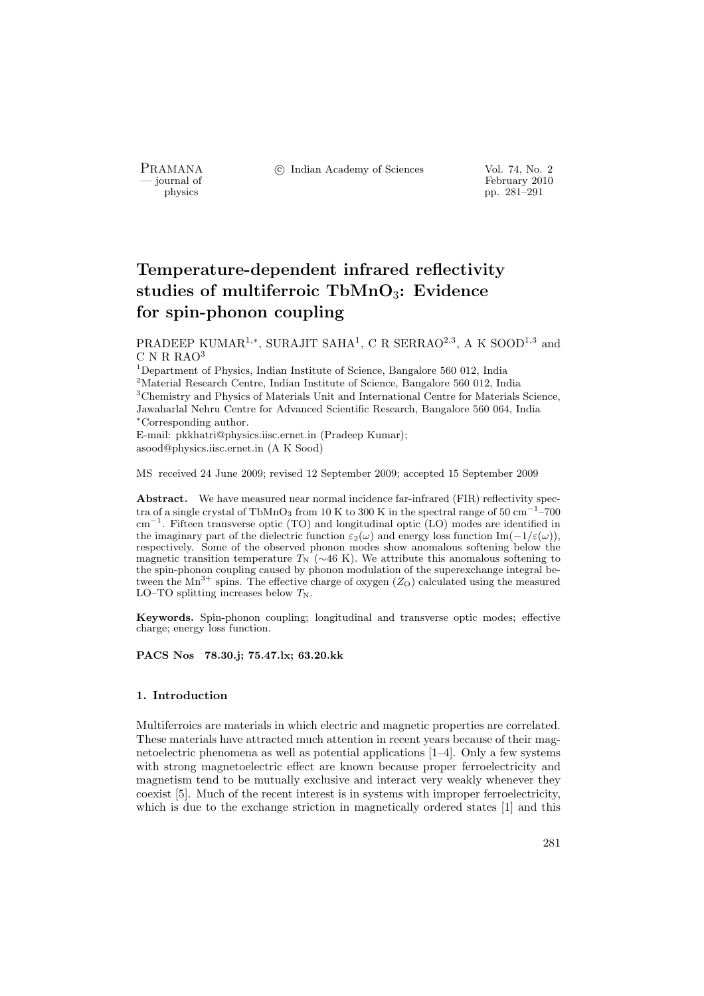PRAMANA °c Indian Academy of Sciences Vol. 74, No. 2

physics<br>
and the settlement of February 2010<br>
pp. 281–291 physics pp. 281–291

# Temperature-dependent infrared reflectivity studies of multiferroic  $TbMnO<sub>3</sub>$ : Evidence for spin-phonon coupling

PRADEEP KUMAR<sup>1,\*</sup>, SURAJIT SAHA<sup>1</sup>, C R SERRAO<sup>2,3</sup>, A K SOOD<sup>1,3</sup> and C N R RAO<sup>3</sup>

 $^1$ Department of Physics, Indian Institute of Science, Bangalore 560 012, India <sup>2</sup>Material Research Centre, Indian Institute of Science, Bangalore 560 012, India <sup>3</sup>Chemistry and Physics of Materials Unit and International Centre for Materials Science, Jawaharlal Nehru Centre for Advanced Scientific Research, Bangalore 560 064, India <sup>∗</sup>Corresponding author. E-mail: pkkhatri@physics.iisc.ernet.in (Pradeep Kumar);

asood@physics.iisc.ernet.in (A K Sood)

MS received 24 June 2009; revised 12 September 2009; accepted 15 September 2009

Abstract. We have measured near normal incidence far-infrared (FIR) reflectivity spectra of a single crystal of TbMnO<sub>3</sub> from 10 K to 300 K in the spectral range of 50 cm<sup>-1</sup>-700 cm<sup>−</sup><sup>1</sup> . Fifteen transverse optic (TO) and longitudinal optic (LO) modes are identified in the imaginary part of the dielectric function  $\varepsilon_2(\omega)$  and energy loss function Im( $-1/\varepsilon(\omega)$ ), respectively. Some of the observed phonon modes show anomalous softening below the magnetic transition temperature  $T_N$  (∼46 K). We attribute this anomalous softening to the spin-phonon coupling caused by phonon modulation of the superexchange integral between the  $Mn^{3+}$  spins. The effective charge of oxygen  $(Z_O)$  calculated using the measured LO–TO splitting increases below  $T_N$ .

Keywords. Spin-phonon coupling; longitudinal and transverse optic modes; effective charge; energy loss function.

PACS Nos 78.30.j; 75.47.lx; 63.20.kk

## 1. Introduction

Multiferroics are materials in which electric and magnetic properties are correlated. These materials have attracted much attention in recent years because of their magnetoelectric phenomena as well as potential applications [1–4]. Only a few systems with strong magnetoelectric effect are known because proper ferroelectricity and magnetism tend to be mutually exclusive and interact very weakly whenever they coexist [5]. Much of the recent interest is in systems with improper ferroelectricity, which is due to the exchange striction in magnetically ordered states [1] and this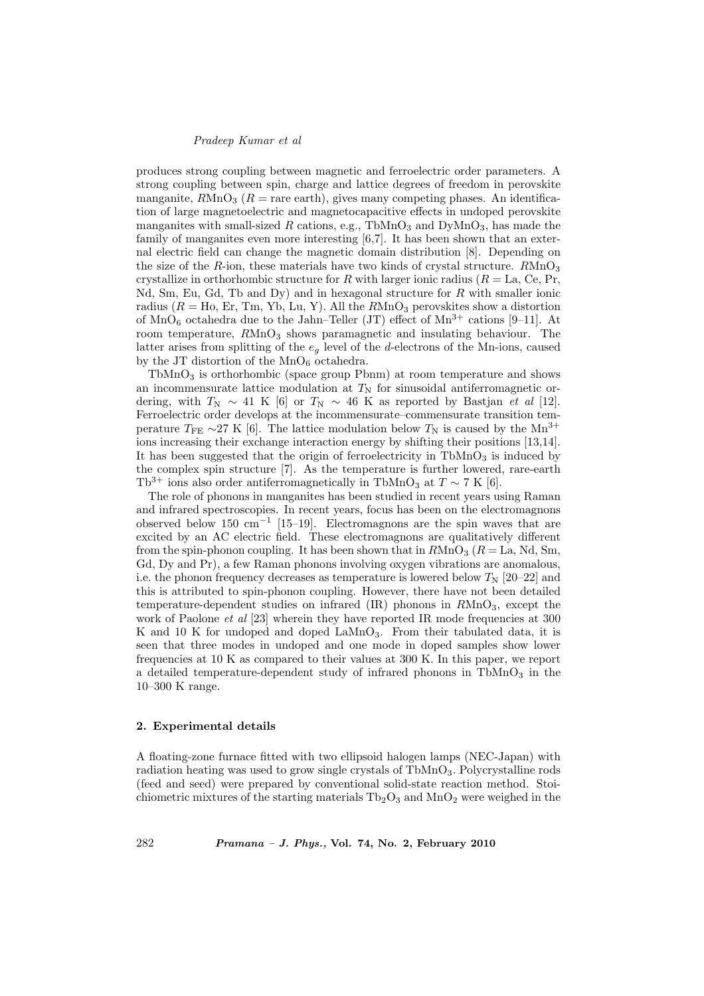### Pradeep Kumar et al

produces strong coupling between magnetic and ferroelectric order parameters. A strong coupling between spin, charge and lattice degrees of freedom in perovskite manganite,  $R M n O<sub>3</sub>$  ( $R =$  rare earth), gives many competing phases. An identification of large magnetoelectric and magnetocapacitive effects in undoped perovskite manganites with small-sized  $R$  cations, e.g., TbMnO<sub>3</sub> and DyMnO<sub>3</sub>, has made the family of manganites even more interesting [6,7]. It has been shown that an external electric field can change the magnetic domain distribution [8]. Depending on the size of the R-ion, these materials have two kinds of crystal structure.  $R M n O<sub>3</sub>$ crystallize in orthorhombic structure for R with larger ionic radius ( $R = La$ , Ce, Pr, Nd, Sm, Eu, Gd, Tb and Dy) and in hexagonal structure for  $R$  with smaller ionic radius ( $R =$  Ho, Er, Tm, Yb, Lu, Y). All the  $R MnO<sub>3</sub>$  perovskites show a distortion of  $\text{MnO}_6$  octahedra due to the Jahn–Teller (JT) effect of  $\text{Mn}^{3+}$  cations [9–11]. At room temperature,  $R M n O<sub>3</sub>$  shows paramagnetic and insulating behaviour. The latter arises from splitting of the  $e_q$  level of the d-electrons of the Mn-ions, caused by the JT distortion of the  $MnO_6$  octahedra.

 $TbMnO<sub>3</sub>$  is orthorhombic (space group Pbnm) at room temperature and shows an incommensurate lattice modulation at  $T<sub>N</sub>$  for sinusoidal antiferromagnetic ordering, with  $T_N \sim 41$  K [6] or  $T_N \sim 46$  K as reported by Bastjan *et al* [12]. Ferroelectric order develops at the incommensurate–commensurate transition temperature  $T_{\text{FE}} \sim 27 \text{ K}$  [6]. The lattice modulation below  $T_{\text{N}}$  is caused by the Mn<sup>3+</sup> ions increasing their exchange interaction energy by shifting their positions [13,14]. It has been suggested that the origin of ferroelectricity in  $TbMnO<sub>3</sub>$  is induced by the complex spin structure [7]. As the temperature is further lowered, rare-earth Tb<sup>3+</sup> ions also order antiferromagnetically in TbMnO<sub>3</sub> at  $T \sim 7$  K [6].

The role of phonons in manganites has been studied in recent years using Raman and infrared spectroscopies. In recent years, focus has been on the electromagnons observed below 150 cm<sup>−</sup><sup>1</sup> [15–19]. Electromagnons are the spin waves that are excited by an AC electric field. These electromagnons are qualitatively different from the spin-phonon coupling. It has been shown that in  $R\text{MnO}_3$  ( $R = \text{La}$ , Nd, Sm, Gd, Dy and Pr), a few Raman phonons involving oxygen vibrations are anomalous, i.e. the phonon frequency decreases as temperature is lowered below  $T_{\rm N}$  [20–22] and this is attributed to spin-phonon coupling. However, there have not been detailed temperature-dependent studies on infrared  $(IR)$  phonons in  $RMnO<sub>3</sub>$ , except the work of Paolone  $et$  al  $[23]$  wherein they have reported IR mode frequencies at 300 K and 10 K for undoped and doped LaMnO<sub>3</sub>. From their tabulated data, it is seen that three modes in undoped and one mode in doped samples show lower frequencies at 10 K as compared to their values at 300 K. In this paper, we report a detailed temperature-dependent study of infrared phonons in  $TbMnO<sub>3</sub>$  in the 10–300 K range.

#### 2. Experimental details

A floating-zone furnace fitted with two ellipsoid halogen lamps (NEC-Japan) with radiation heating was used to grow single crystals of TbMnO<sub>3</sub>. Polycrystalline rods (feed and seed) were prepared by conventional solid-state reaction method. Stoichiometric mixtures of the starting materials  $Tb_2O_3$  and  $MnO_2$  were weighed in the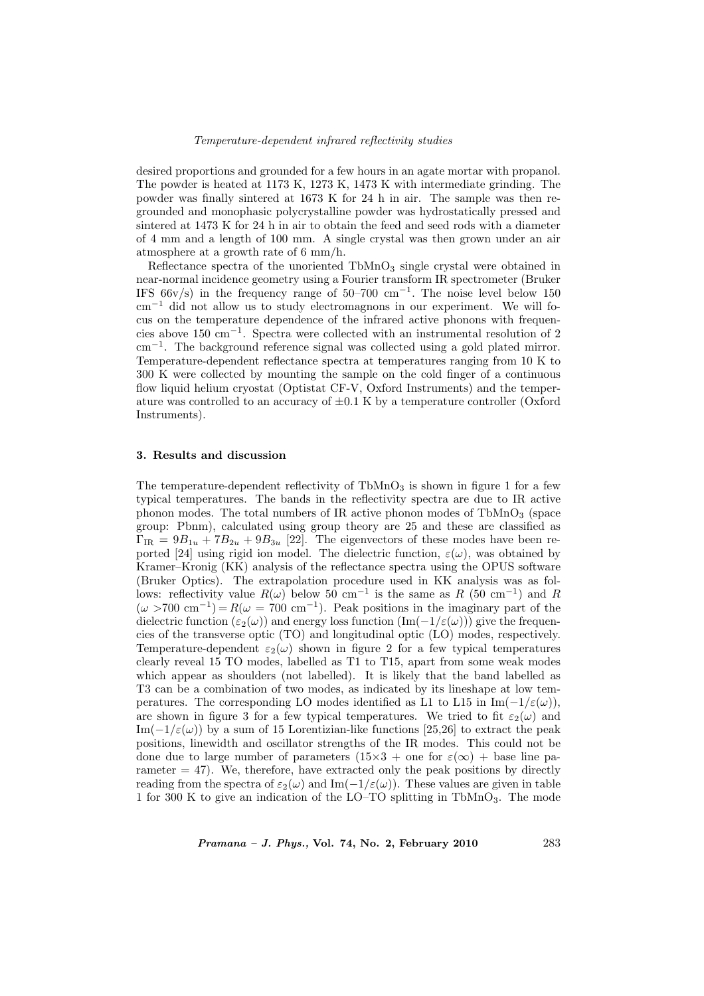#### Temperature-dependent infrared reflectivity studies

desired proportions and grounded for a few hours in an agate mortar with propanol. The powder is heated at 1173 K, 1273 K, 1473 K with intermediate grinding. The powder was finally sintered at 1673 K for 24 h in air. The sample was then regrounded and monophasic polycrystalline powder was hydrostatically pressed and sintered at 1473 K for 24 h in air to obtain the feed and seed rods with a diameter of 4 mm and a length of 100 mm. A single crystal was then grown under an air atmosphere at a growth rate of 6 mm/h.

Reflectance spectra of the unoriented  $TbMnO<sub>3</sub>$  single crystal were obtained in near-normal incidence geometry using a Fourier transform IR spectrometer (Bruker IFS  $66v/s$ ) in the frequency range of  $50–700$  cm<sup>-1</sup>. The noise level below 150 cm<sup>−</sup><sup>1</sup> did not allow us to study electromagnons in our experiment. We will focus on the temperature dependence of the infrared active phonons with frequencies above 150 cm<sup>−</sup><sup>1</sup> . Spectra were collected with an instrumental resolution of 2 cm<sup>−</sup><sup>1</sup> . The background reference signal was collected using a gold plated mirror. Temperature-dependent reflectance spectra at temperatures ranging from 10 K to 300 K were collected by mounting the sample on the cold finger of a continuous flow liquid helium cryostat (Optistat CF-V, Oxford Instruments) and the temperature was controlled to an accuracy of  $\pm 0.1$  K by a temperature controller (Oxford Instruments).

## 3. Results and discussion

The temperature-dependent reflectivity of  $TbMnO<sub>3</sub>$  is shown in figure 1 for a few typical temperatures. The bands in the reflectivity spectra are due to IR active phonon modes. The total numbers of IR active phonon modes of  $TbMnO<sub>3</sub>$  (space group: Pbnm), calculated using group theory are 25 and these are classified as  $\Gamma_{\text{IR}} = 9B_{1u} + 7B_{2u} + 9B_{3u}$  [22]. The eigenvectors of these modes have been reported [24] using rigid ion model. The dielectric function,  $\varepsilon(\omega)$ , was obtained by Kramer–Kronig (KK) analysis of the reflectance spectra using the OPUS software (Bruker Optics). The extrapolation procedure used in KK analysis was as follows: reflectivity value  $R(\omega)$  below 50 cm<sup>-1</sup> is the same as R (50 cm<sup>-1</sup>) and R  $(\omega > 700 \text{ cm}^{-1}) = R(\omega = 700 \text{ cm}^{-1})$ . Peak positions in the imaginary part of the dielectric function ( $\varepsilon_2(\omega)$ ) and energy loss function  $(\text{Im}(-1/\varepsilon(\omega)))$  give the frequencies of the transverse optic (TO) and longitudinal optic (LO) modes, respectively. Temperature-dependent  $\varepsilon_2(\omega)$  shown in figure 2 for a few typical temperatures clearly reveal 15 TO modes, labelled as T1 to T15, apart from some weak modes which appear as shoulders (not labelled). It is likely that the band labelled as T3 can be a combination of two modes, as indicated by its lineshape at low temperatures. The corresponding LO modes identified as L1 to L15 in Im( $-1/\varepsilon(\omega)$ ), are shown in figure 3 for a few typical temperatures. We tried to fit  $\varepsilon_2(\omega)$  and Im( $-1/\varepsilon(\omega)$ ) by a sum of 15 Lorentizian-like functions [25,26] to extract the peak positions, linewidth and oscillator strengths of the IR modes. This could not be done due to large number of parameters  $(15\times3 + \text{one for } \varepsilon(\infty) + \text{base line pa-})$ rameter  $= 47$ ). We, therefore, have extracted only the peak positions by directly reading from the spectra of  $\varepsilon_2(\omega)$  and Im( $-1/\varepsilon(\omega)$ ). These values are given in table 1 for 300 K to give an indication of the LO–TO splitting in TbMnO<sub>3</sub>. The mode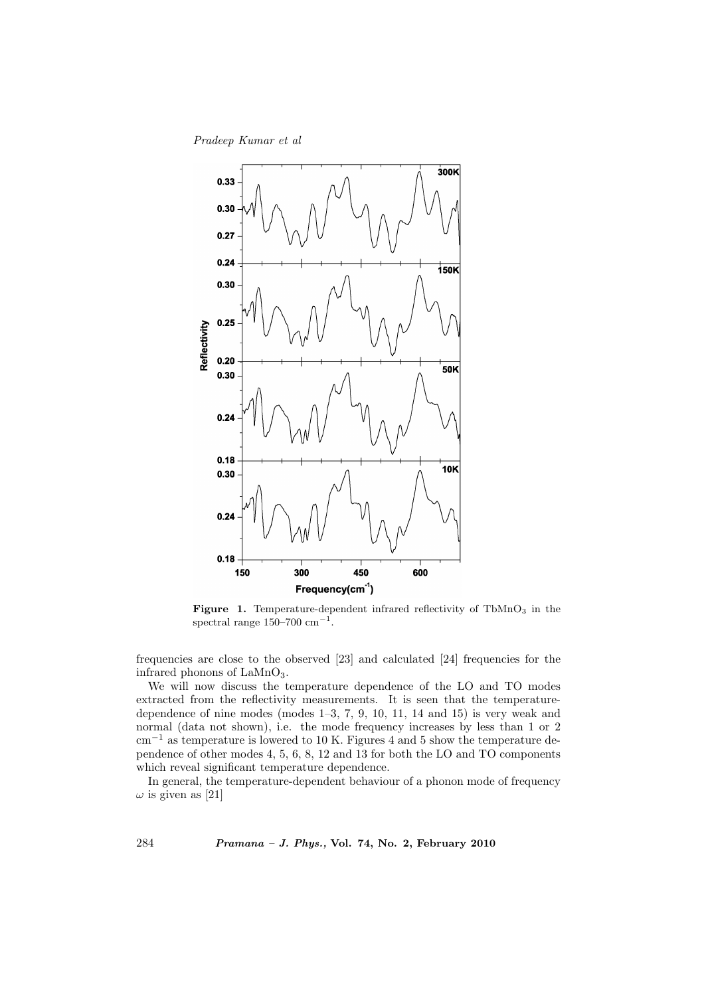# Pradeep Kumar et al



Figure 1. Temperature-dependent infrared reflectivity of  $TbMnO<sub>3</sub>$  in the spectral range  $150-700$  cm<sup>-1</sup>.

frequencies are close to the observed [23] and calculated [24] frequencies for the infrared phonons of  $\text{LaMnO}_3$ .

We will now discuss the temperature dependence of the LO and TO modes extracted from the reflectivity measurements. It is seen that the temperaturedependence of nine modes (modes 1–3, 7, 9, 10, 11, 14 and 15) is very weak and normal (data not shown), i.e. the mode frequency increases by less than 1 or 2 cm<sup>−</sup><sup>1</sup> as temperature is lowered to 10 K. Figures 4 and 5 show the temperature dependence of other modes 4, 5, 6, 8, 12 and 13 for both the LO and TO components which reveal significant temperature dependence.

In general, the temperature-dependent behaviour of a phonon mode of frequency  $\omega$  is given as [21]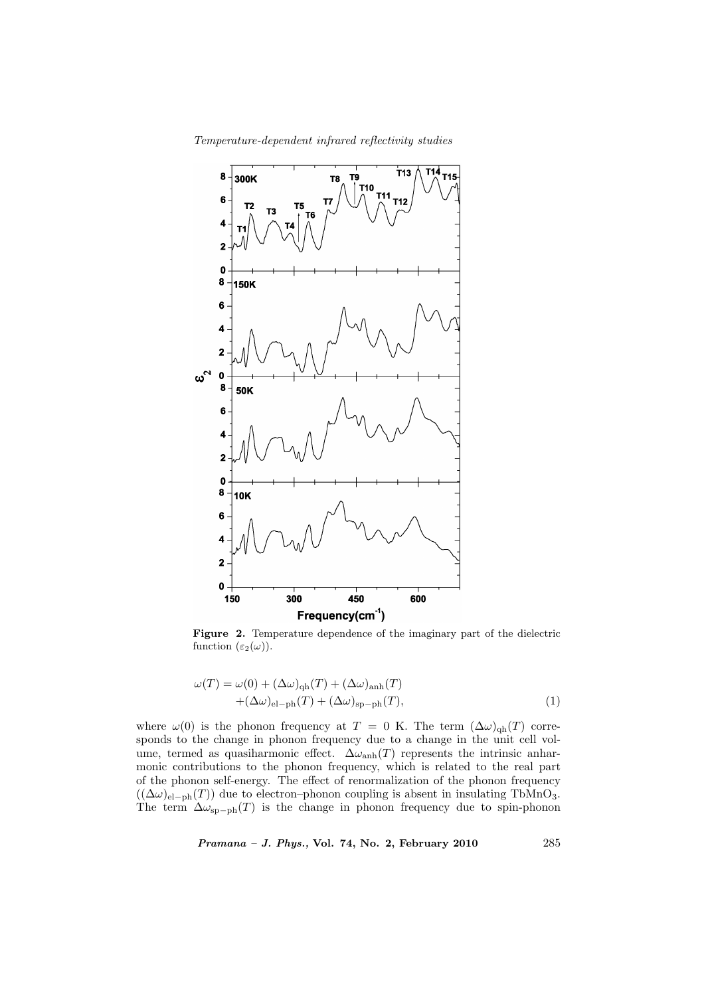Temperature-dependent infrared reflectivity studies



Figure 2. Temperature dependence of the imaginary part of the dielectric function  $(\varepsilon_2(\omega))$ .

$$
\omega(T) = \omega(0) + (\Delta\omega)_{\text{qh}}(T) + (\Delta\omega)_{\text{anh}}(T) + (\Delta\omega)_{\text{el-ph}}(T) + (\Delta\omega)_{\text{sp-ph}}(T),
$$
\n(1)

where  $\omega(0)$  is the phonon frequency at T = 0 K. The term  $(\Delta \omega)_{\text{qh}}(T)$  corresponds to the change in phonon frequency due to a change in the unit cell volume, termed as quasiharmonic effect.  $\Delta\omega_{\rm anh}(T)$  represents the intrinsic anharmonic contributions to the phonon frequency, which is related to the real part of the phonon self-energy. The effect of renormalization of the phonon frequency  $((\Delta \omega)_{el-ph}(T))$  due to electron–phonon coupling is absent in insulating TbMnO<sub>3</sub>. The term  $\Delta \omega_{\rm sp-ph}(T)$  is the change in phonon frequency due to spin-phonon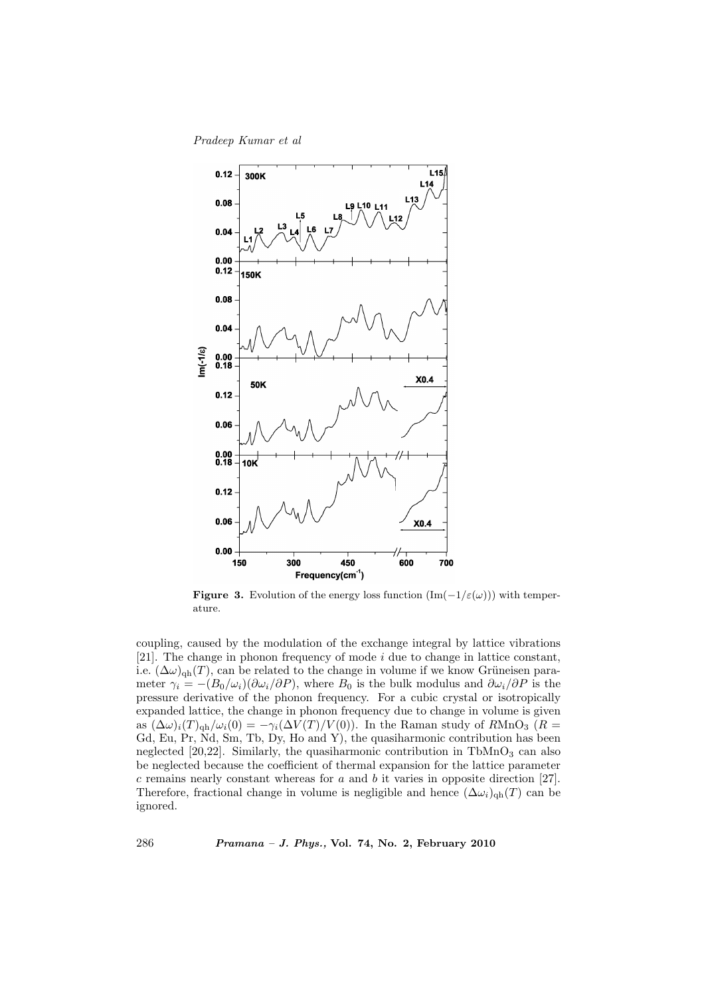Pradeep Kumar et al



**Figure 3.** Evolution of the energy loss function  $(Im(-1/\varepsilon(\omega)))$  with temperature.

coupling, caused by the modulation of the exchange integral by lattice vibrations [21]. The change in phonon frequency of mode i due to change in lattice constant, i.e.  $(\Delta \omega)_{\text{qh}}(T)$ , can be related to the change in volume if we know Grüneisen parameter  $\gamma_i = -(B_0/\omega_i)(\partial \omega_i/\partial P)$ , where  $B_0$  is the bulk modulus and  $\partial \omega_i/\partial P$  is the pressure derivative of the phonon frequency. For a cubic crystal or isotropically expanded lattice, the change in phonon frequency due to change in volume is given as  $(\Delta \omega)_i(T)_{\text{qh}}/\omega_i(0) = -\gamma_i(\Delta V(T)/V(0))$ . In the Raman study of RMnO<sub>3</sub> (R = Gd, Eu, Pr, Nd, Sm, Tb, Dy, Ho and Y), the quasiharmonic contribution has been neglected  $[20,22]$ . Similarly, the quasiharmonic contribution in TbMnO<sub>3</sub> can also be neglected because the coefficient of thermal expansion for the lattice parameter  $c$  remains nearly constant whereas for  $a$  and  $b$  it varies in opposite direction [27]. Therefore, fractional change in volume is negligible and hence  $(\Delta \omega_i)_{\text{qh}}(T)$  can be ignored.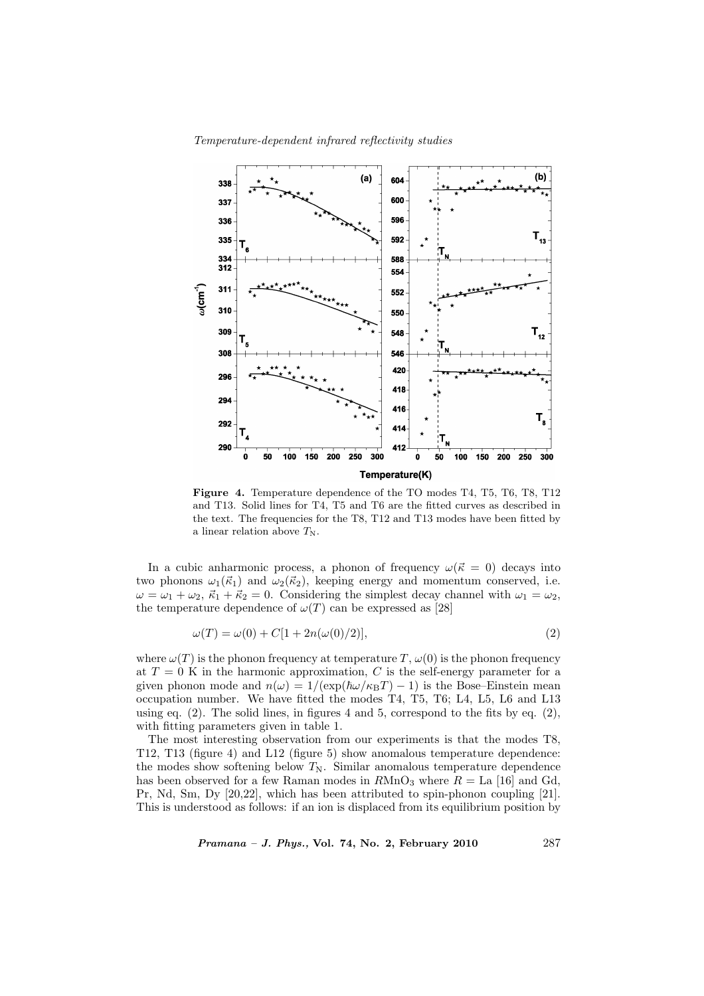Temperature-dependent infrared reflectivity studies



Figure 4. Temperature dependence of the TO modes T4, T5, T6, T8, T12 and T13. Solid lines for T4, T5 and T6 are the fitted curves as described in the text. The frequencies for the T8, T12 and T13 modes have been fitted by a linear relation above  $T_N$ .

In a cubic anharmonic process, a phonon of frequency  $\omega(\vec{k} = 0)$  decays into two phonons  $\omega_1(\vec{k}_1)$  and  $\omega_2(\vec{k}_2)$ , keeping energy and momentum conserved, i.e.  $\omega = \omega_1 + \omega_2$ ,  $\vec{\kappa}_1 + \vec{\kappa}_2 = 0$ . Considering the simplest decay channel with  $\omega_1 = \omega_2$ , the temperature dependence of  $\omega(T)$  can be expressed as [28]

$$
\omega(T) = \omega(0) + C[1 + 2n(\omega(0)/2)],
$$
\n(2)

where  $\omega(T)$  is the phonon frequency at temperature T,  $\omega(0)$  is the phonon frequency at  $T = 0$  K in the harmonic approximation, C is the self-energy parameter for a given phonon mode and  $n(\omega) = 1/(\exp(\hbar\omega/\kappa_BT) - 1)$  is the Bose–Einstein mean occupation number. We have fitted the modes T4, T5, T6; L4, L5, L6 and L13 using eq.  $(2)$ . The solid lines, in figures 4 and 5, correspond to the fits by eq.  $(2)$ , with fitting parameters given in table 1.

The most interesting observation from our experiments is that the modes T8, T12, T13 (figure 4) and L12 (figure 5) show anomalous temperature dependence: the modes show softening below  $T_N$ . Similar anomalous temperature dependence has been observed for a few Raman modes in  $R\text{MnO}_3$  where  $R =$  La [16] and Gd, Pr, Nd, Sm, Dy [20,22], which has been attributed to spin-phonon coupling [21]. This is understood as follows: if an ion is displaced from its equilibrium position by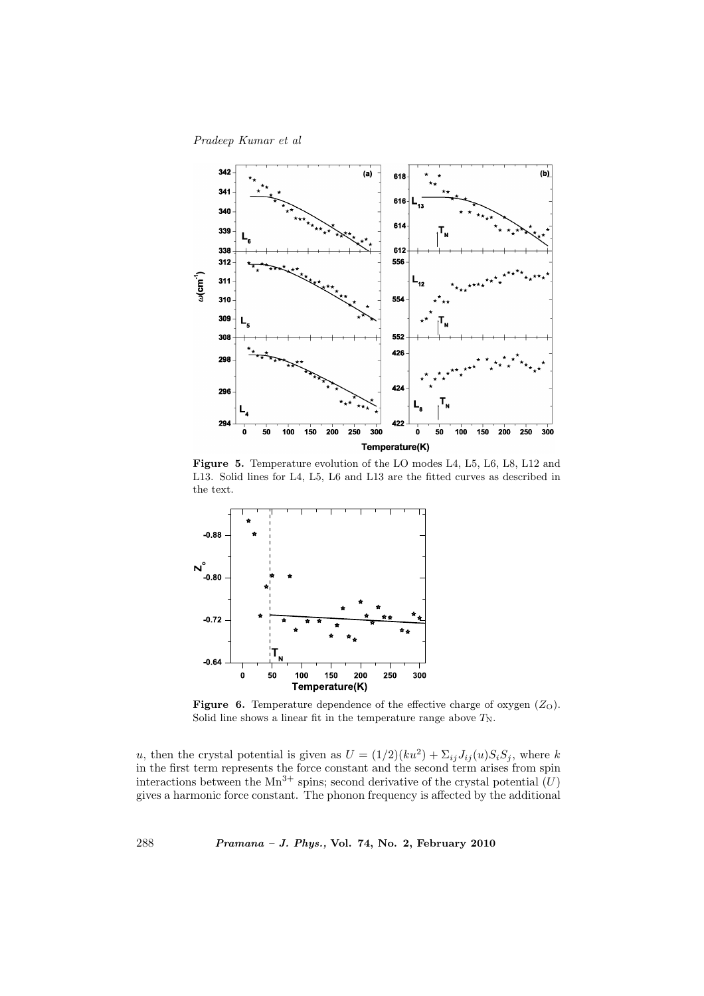Pradeep Kumar et al



Figure 5. Temperature evolution of the LO modes L4, L5, L6, L8, L12 and L13. Solid lines for L4, L5, L6 and L13 are the fitted curves as described in the text.



**Figure 6.** Temperature dependence of the effective charge of oxygen  $(Z<sub>O</sub>)$ . Solid line shows a linear fit in the temperature range above  $T_N$ .

u, then the crystal potential is given as  $U = (1/2)(ku^2) + \sum_{ij} J_{ij}(u) S_i S_j$ , where k in the first term represents the force constant and the second term arises from spin interactions between the  $Mn^{3+}$  spins; second derivative of the crystal potential  $(U)$ gives a harmonic force constant. The phonon frequency is affected by the additional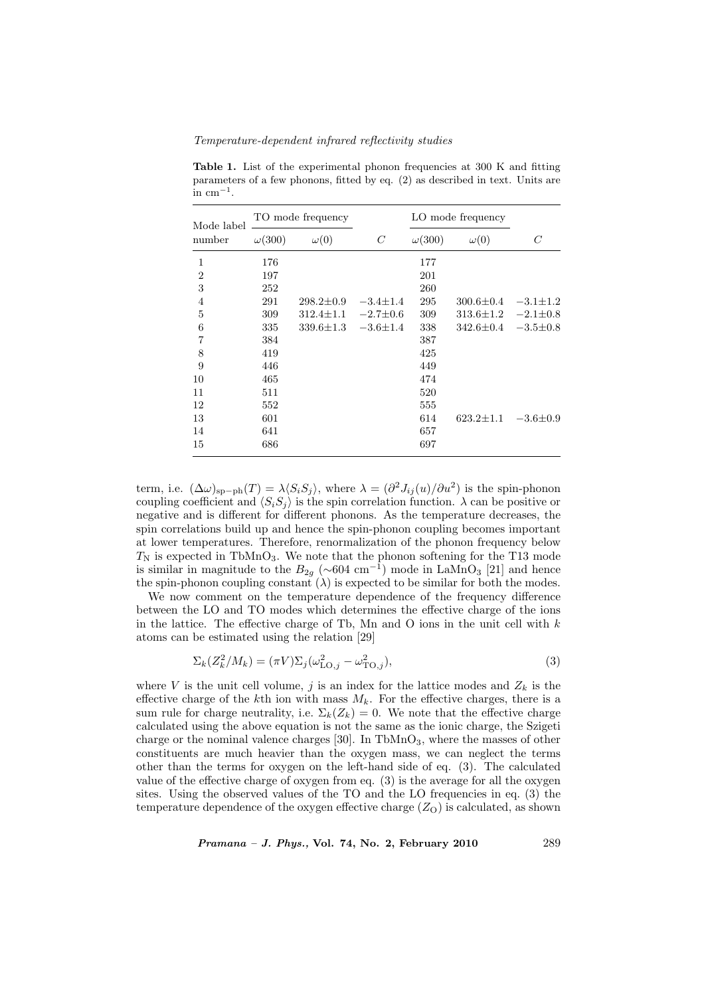Temperature-dependent infrared reflectivity studies

| Mode label<br>number | TO mode frequency |                 | LO mode frequency |               |                 |                |
|----------------------|-------------------|-----------------|-------------------|---------------|-----------------|----------------|
|                      | $\omega(300)$     | $\omega(0)$     | C                 | $\omega(300)$ | $\omega(0)$     | C              |
| 1                    | 176               |                 |                   | 177           |                 |                |
| $\overline{2}$       | 197               |                 |                   | 201           |                 |                |
| 3                    | 252               |                 |                   | 260           |                 |                |
| $\overline{4}$       | 291               | $298.2 \pm 0.9$ | $-3.4 \pm 1.4$    | 295           | $300.6 \pm 0.4$ | $-3.1 \pm 1.2$ |
| 5                    | 309               | $312.4 \pm 1.1$ | $-2.7 \pm 0.6$    | 309           | $313.6 \pm 1.2$ | $-2.1 \pm 0.8$ |
| 6                    | 335               | $339.6 \pm 1.3$ | $-3.6 \pm 1.4$    | 338           | $342.6 \pm 0.4$ | $-3.5 \pm 0.8$ |
| $\overline{7}$       | 384               |                 |                   | 387           |                 |                |
| 8                    | 419               |                 |                   | 425           |                 |                |
| 9                    | 446               |                 |                   | 449           |                 |                |
| 10                   | 465               |                 |                   | 474           |                 |                |
| 11                   | 511               |                 |                   | 520           |                 |                |
| 12                   | 552               |                 |                   | 555           |                 |                |
| 13                   | 601               |                 |                   | 614           | $623.2 \pm 1.1$ | $-3.6 \pm 0.9$ |
| 14                   | 641               |                 |                   | 657           |                 |                |
| 15                   | 686               |                 |                   | 697           |                 |                |

Table 1. List of the experimental phonon frequencies at 300 K and fitting parameters of a few phonons, fitted by eq. (2) as described in text. Units are in  $cm^{-1}$ .

term, i.e.  $(\Delta \omega)_{\rm sp-ph}(T) = \lambda \langle S_i S_j \rangle$ , where  $\lambda = (\partial^2 J_{ij}(u)/\partial u^2)$  is the spin-phonon coupling coefficient and  $\langle S_iS_j \rangle$  is the spin correlation function.  $\lambda$  can be positive or negative and is different for different phonons. As the temperature decreases, the spin correlations build up and hence the spin-phonon coupling becomes important at lower temperatures. Therefore, renormalization of the phonon frequency below  $T_N$  is expected in TbMnO<sub>3</sub>. We note that the phonon softening for the T13 mode is similar in magnitude to the  $B_{2g}$  (~604 cm<sup>-1</sup>) mode in LaMnO<sub>3</sub> [21] and hence the spin-phonon coupling constant  $(\lambda)$  is expected to be similar for both the modes.

We now comment on the temperature dependence of the frequency difference between the LO and TO modes which determines the effective charge of the ions in the lattice. The effective charge of Tb, Mn and O ions in the unit cell with  $k$ atoms can be estimated using the relation [29]

$$
\Sigma_k(Z_k^2/M_k) = (\pi V)\Sigma_j(\omega_{\text{LO},j}^2 - \omega_{\text{TO},j}^2),\tag{3}
$$

where V is the unit cell volume, j is an index for the lattice modes and  $Z_k$  is the effective charge of the kth ion with mass  $M_k$ . For the effective charges, there is a sum rule for charge neutrality, i.e.  $\Sigma_k(Z_k) = 0$ . We note that the effective charge calculated using the above equation is not the same as the ionic charge, the Szigeti charge or the nominal valence charges [30]. In  $TbMnO<sub>3</sub>$ , where the masses of other constituents are much heavier than the oxygen mass, we can neglect the terms other than the terms for oxygen on the left-hand side of eq. (3). The calculated value of the effective charge of oxygen from eq. (3) is the average for all the oxygen sites. Using the observed values of the TO and the LO frequencies in eq. (3) the temperature dependence of the oxygen effective charge  $(Z<sub>O</sub>)$  is calculated, as shown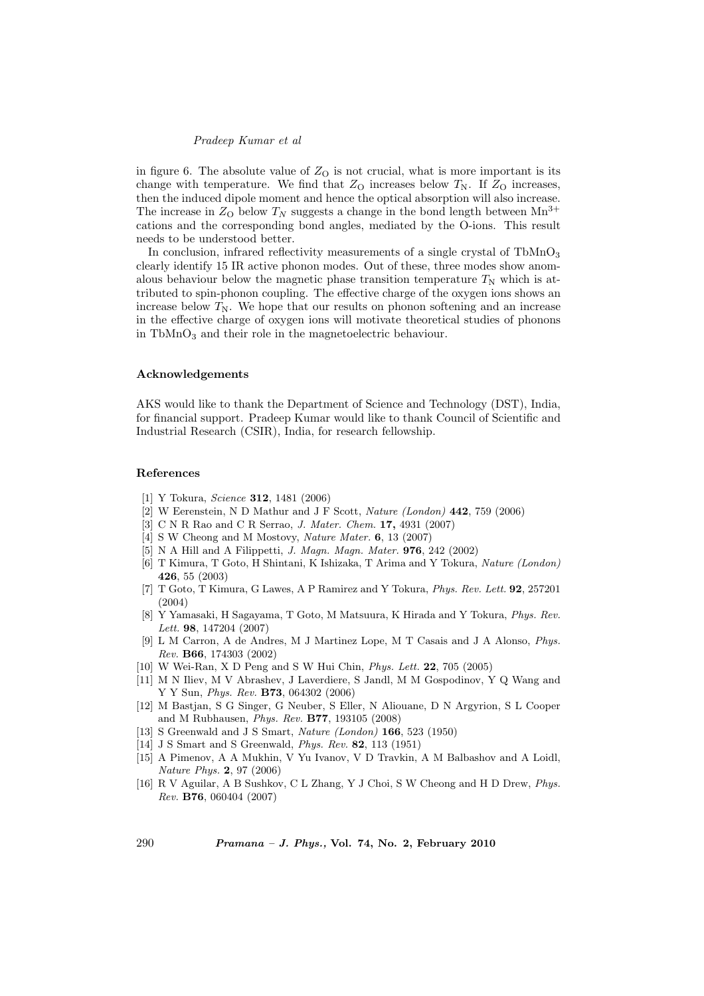## Pradeep Kumar et al

in figure 6. The absolute value of  $Z_{\rm O}$  is not crucial, what is more important is its change with temperature. We find that  $Z_{\rm O}$  increases below  $T_{\rm N}$ . If  $Z_{\rm O}$  increases, then the induced dipole moment and hence the optical absorption will also increase. The increase in  $Z_{\text{O}}$  below  $T_N$  suggests a change in the bond length between  $\text{Mn}^{3+}$ cations and the corresponding bond angles, mediated by the O-ions. This result needs to be understood better.

In conclusion, infrared reflectivity measurements of a single crystal of  $TbMnO<sub>3</sub>$ clearly identify 15 IR active phonon modes. Out of these, three modes show anomalous behaviour below the magnetic phase transition temperature  $T_N$  which is attributed to spin-phonon coupling. The effective charge of the oxygen ions shows an increase below  $T_N$ . We hope that our results on phonon softening and an increase in the effective charge of oxygen ions will motivate theoretical studies of phonons in TbMnO<sup>3</sup> and their role in the magnetoelectric behaviour.

#### Acknowledgements

AKS would like to thank the Department of Science and Technology (DST), India, for financial support. Pradeep Kumar would like to thank Council of Scientific and Industrial Research (CSIR), India, for research fellowship.

### References

- [1] Y Tokura, Science 312, 1481 (2006)
- [2] W Eerenstein, N D Mathur and J F Scott, Nature (London) 442, 759 (2006)
- [3] C N R Rao and C R Serrao, J. Mater. Chem. 17, 4931 (2007)
- [4] S W Cheong and M Mostovy, Nature Mater. **6**, 13 (2007)
- [5] N A Hill and A Filippetti, J. Magn. Magn. Mater. 976, 242 (2002)
- [6] T Kimura, T Goto, H Shintani, K Ishizaka, T Arima and Y Tokura, Nature (London) 426, 55 (2003)
- [7] T Goto, T Kimura, G Lawes, A P Ramirez and Y Tokura, Phys. Rev. Lett. 92, 257201 (2004)
- [8] Y Yamasaki, H Sagayama, T Goto, M Matsuura, K Hirada and Y Tokura, Phys. Rev. Lett. 98, 147204 (2007)
- [9] L M Carron, A de Andres, M J Martinez Lope, M T Casais and J A Alonso, Phys. Rev. B66, 174303 (2002)
- [10] W Wei-Ran, X D Peng and S W Hui Chin, Phys. Lett. 22, 705 (2005)
- [11] M N Iliev, M V Abrashev, J Laverdiere, S Jandl, M M Gospodinov, Y Q Wang and Y Y Sun, Phys. Rev. B73, 064302 (2006)
- [12] M Bastjan, S G Singer, G Neuber, S Eller, N Aliouane, D N Argyrion, S L Cooper and M Rubhausen, Phys. Rev. B77, 193105 (2008)
- [13] S Greenwald and J S Smart, *Nature (London)* **166**, 523 (1950)
- [14] J S Smart and S Greenwald, Phys. Rev. 82, 113 (1951)
- [15] A Pimenov, A A Mukhin, V Yu Ivanov, V D Travkin, A M Balbashov and A Loidl, Nature Phys. 2, 97 (2006)
- [16] R V Aguilar, A B Sushkov, C L Zhang, Y J Choi, S W Cheong and H D Drew, Phys. Rev. B76, 060404 (2007)